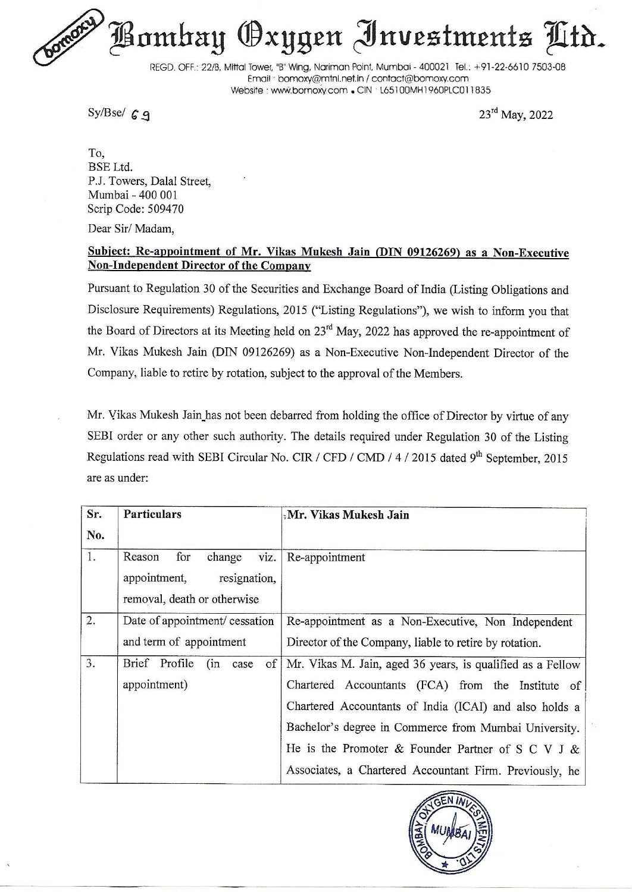Bombay Oxygen Investments Ltr.

REGD. OFF.: 22/B, Mittal Tower, "B" Wing, Nariman Point, Mumbai - 400021. Tel.: +91-22-6610 7503-08 Email ' bomoxy@mini.net.in / contact@bomoxy.com Website : www.bomoxy.com . CIN : L65100MH1960PLC011835

Sy/Bse/ $69$ 

23<sup>rd</sup> May, 2022

## Subject: Re-appointment of Mr. Vikas Mukesh Jain (DIN 09126269) as a Non-Executive Non-Independent Director of the Company

Pursuant to Regulation 30 of the Securities and Exchange Board of India (Listing Obligations and Disclosure Requirements) Regulations, 2015 ("Listing Regulations"), we wish to inform you that the Board of Directors at its Meeting held on 23" May, 2022 has approved the re-appointment of Mr. Vikas Mukesh Jain (DIN 09126269) as a Non-Executive Non-Independent Director of the Company, liable to retire by rotation, subject to the approval of the Members. The content of Mr. Vikas Mukesh Taim (Dever the Board of Direct and Library 1990)<br>
Network of the Email Library is with the section of the Email Library is Namburgh Website : www.bornow.<br>
Sy/Bse/ 6 9<br>
To, BSE Ltd.<br>
P.J. To REGD. OFF.: 22/8. Mittal Tower, "B" Wing, Narious CHECO. OFF.: 22/8. Mittal Tower, "B" Wing, Narious Exylispe C G 9<br>To, Narious Experiment Sylismer Website : www.bomoxy.com<br>To, To, To, To, Towers, Dalal Street, Mumbai -40

|                                                                                                                                                                                                                                                                                                                                  | $\frac{3y}{5g}$                                                      | $23^{\circ}$ May, 2022                                                                                      |
|----------------------------------------------------------------------------------------------------------------------------------------------------------------------------------------------------------------------------------------------------------------------------------------------------------------------------------|----------------------------------------------------------------------|-------------------------------------------------------------------------------------------------------------|
| To,<br>BSE Ltd.                                                                                                                                                                                                                                                                                                                  | P.J. Towers, Dalal Street,<br>Mumbai - 400 001<br>Scrip Code: 509470 |                                                                                                             |
|                                                                                                                                                                                                                                                                                                                                  | Dear Sir/Madam,                                                      |                                                                                                             |
|                                                                                                                                                                                                                                                                                                                                  | <b>Non-Independent Director of the Company</b>                       | Subject: Re-appointment of Mr. Vikas Mukesh Jain (DIN 09126269) as a Non-Executive                          |
|                                                                                                                                                                                                                                                                                                                                  |                                                                      | Pursuant to Regulation 30 of the Securities and Exchange Board of India (Listing Obligations and            |
|                                                                                                                                                                                                                                                                                                                                  |                                                                      | Disclosure Requirements) Regulations, 2015 ("Listing Regulations"), we wish to inform you that              |
|                                                                                                                                                                                                                                                                                                                                  |                                                                      | the Board of Directors at its Meeting held on 23 <sup>rd</sup> May, 2022 has approved the re-appointment of |
|                                                                                                                                                                                                                                                                                                                                  |                                                                      | Mr. Vikas Mukesh Jain (DIN 09126269) as a Non-Executive Non-Independent Director of the                     |
|                                                                                                                                                                                                                                                                                                                                  |                                                                      | Company, liable to retire by rotation, subject to the approval of the Members.                              |
| Mr. Vikas Mukesh Jain has not been debarred from holding the office of Director by virtue of any<br>SEBI order or any other such authority. The details required under Regulation 30 of the Listing<br>Regulations read with SEBI Circular No. CIR / CFD / CMD / 4 / 2015 dated 9 <sup>th</sup> September, 2015<br>are as under: |                                                                      |                                                                                                             |
|                                                                                                                                                                                                                                                                                                                                  |                                                                      |                                                                                                             |
| Sr.<br>No.                                                                                                                                                                                                                                                                                                                       | Particulars                                                          | Mr. Vikas Mukesh Jain                                                                                       |
| 1.                                                                                                                                                                                                                                                                                                                               | Reason<br>for<br>viz.<br>change                                      | Re-appointment                                                                                              |
|                                                                                                                                                                                                                                                                                                                                  | appointment,<br>resignation,                                         |                                                                                                             |
|                                                                                                                                                                                                                                                                                                                                  | removal, death or otherwise                                          |                                                                                                             |
| 2.                                                                                                                                                                                                                                                                                                                               | Date of appointment/ cessation                                       | Re-appointment as a Non-Executive, Non Independent                                                          |
|                                                                                                                                                                                                                                                                                                                                  | and term of appointment                                              | Director of the Company, liable to retire by rotation.                                                      |
| 3.                                                                                                                                                                                                                                                                                                                               | Brief Profile<br>(in<br>of<br>case                                   | Mr. Vikas M. Jain, aged 36 years, is qualified as a Fellow                                                  |
|                                                                                                                                                                                                                                                                                                                                  | appointment)                                                         | Chartered Accountants (FCA) from the Institute of                                                           |
|                                                                                                                                                                                                                                                                                                                                  |                                                                      | Chartered Accountants of India (ICAI) and also holds a                                                      |
|                                                                                                                                                                                                                                                                                                                                  |                                                                      | Bachelor's degree in Commerce from Mumbai University.                                                       |
|                                                                                                                                                                                                                                                                                                                                  |                                                                      | He is the Promoter & Founder Partner of S C V J &                                                           |